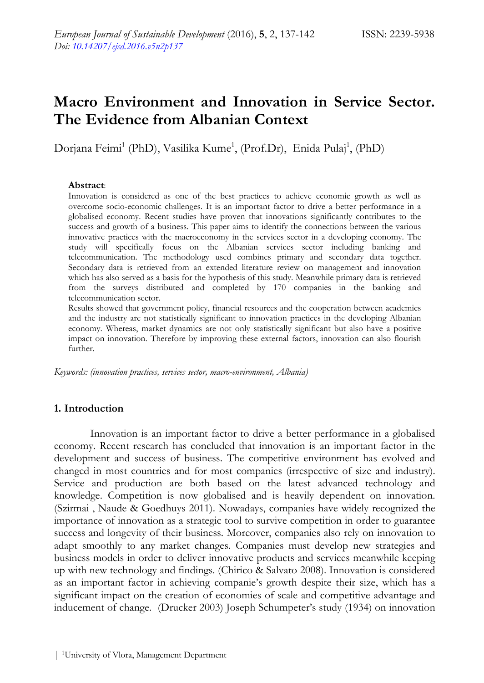# **Macro Environment and Innovation in Service Sector. The Evidence from Albanian Context**

Dorjana Feimi<sup>1</sup> (PhD), Vasilika Kume<sup>1</sup>, (Prof.Dr), Enida Pulaj<sup>1</sup>, (PhD)

#### **Abstract**:

Innovation is considered as one of the best practices to achieve economic growth as well as overcome socio-economic challenges. It is an important factor to drive a better performance in a globalised economy. Recent studies have proven that innovations significantly contributes to the success and growth of a business. This paper aims to identify the connections between the various innovative practices with the macroeconomy in the services sector in a developing economy. The study will specifically focus on the Albanian services sector including banking and telecommunication. The methodology used combines primary and secondary data together. Secondary data is retrieved from an extended literature review on management and innovation which has also served as a basis for the hypothesis of this study. Meanwhile primary data is retrieved from the surveys distributed and completed by 170 companies in the banking and telecommunication sector.

Results showed that government policy, financial resources and the cooperation between academics and the industry are not statistically significant to innovation practices in the developing Albanian economy. Whereas, market dynamics are not only statistically significant but also have a positive impact on innovation. Therefore by improving these external factors, innovation can also flourish further.

*Keywords: (innovation practices, services sector, macro-environment, Albania)* 

### **1. Introduction**

Innovation is an important factor to drive a better performance in a globalised economy. Recent research has concluded that innovation is an important factor in the development and success of business. The competitive environment has evolved and changed in most countries and for most companies (irrespective of size and industry). Service and production are both based on the latest advanced technology and knowledge. Competition is now globalised and is heavily dependent on innovation. (Szirmai , Naude & Goedhuys 2011). Nowadays, companies have widely recognized the importance of innovation as a strategic tool to survive competition in order to guarantee success and longevity of their business. Moreover, companies also rely on innovation to adapt smoothly to any market changes. Companies must develop new strategies and business models in order to deliver innovative products and services meanwhile keeping up with new technology and findings. (Chirico & Salvato 2008). Innovation is considered as an important factor in achieving companie's growth despite their size, which has a significant impact on the creation of economies of scale and competitive advantage and inducement of change. (Drucker 2003) Joseph Schumpeter's study (1934) on innovation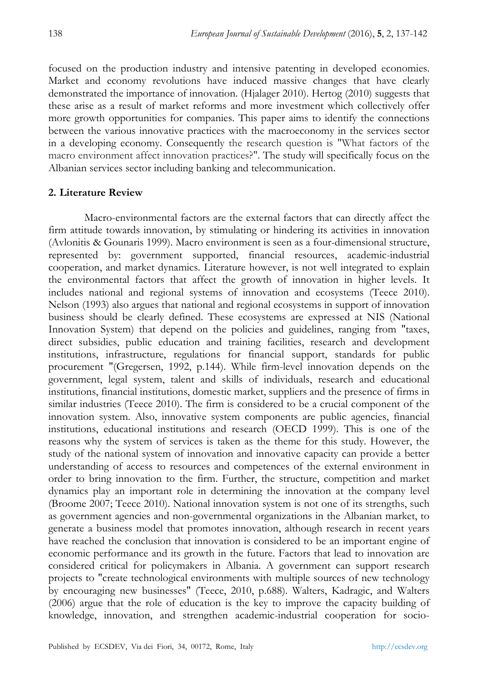focused on the production industry and intensive patenting in developed economies. Market and economy revolutions have induced massive changes that have clearly demonstrated the importance of innovation. (Hjalager 2010). Hertog (2010) suggests that these arise as a result of market reforms and more investment which collectively offer more growth opportunities for companies. This paper aims to identify the connections between the various innovative practices with the macroeconomy in the services sector in a developing economy. Consequently the research question is "What factors of the macro environment affect innovation practices?". The study will specifically focus on the Albanian services sector including banking and telecommunication.

#### **2. Literature Review**

Macro-environmental factors are the external factors that can directly affect the firm attitude towards innovation, by stimulating or hindering its activities in innovation (Avlonitis & Gounaris 1999). Macro environment is seen as a four-dimensional structure, represented by: government supported, financial resources, academic-industrial cooperation, and market dynamics. Literature however, is not well integrated to explain the environmental factors that affect the growth of innovation in higher levels. It includes national and regional systems of innovation and ecosystems (Teece 2010). Nelson (1993) also argues that national and regional ecosystems in support of innovation business should be clearly defined. These ecosystems are expressed at NIS (National Innovation System) that depend on the policies and guidelines, ranging from "taxes, direct subsidies, public education and training facilities, research and development institutions, infrastructure, regulations for financial support, standards for public procurement "(Gregersen, 1992, p.144). While firm-level innovation depends on the government, legal system, talent and skills of individuals, research and educational institutions, financial institutions, domestic market, suppliers and the presence of firms in similar industries (Teece 2010). The firm is considered to be a crucial component of the innovation system. Also, innovative system components are public agencies, financial institutions, educational institutions and research (OECD 1999). This is one of the reasons why the system of services is taken as the theme for this study. However, the study of the national system of innovation and innovative capacity can provide a better understanding of access to resources and competences of the external environment in order to bring innovation to the firm. Further, the structure, competition and market dynamics play an important role in determining the innovation at the company level (Broome 2007; Teece 2010). National innovation system is not one of its strengths, such as government agencies and non-governmental organizations in the Albanian market, to generate a business model that promotes innovation, although research in recent years have reached the conclusion that innovation is considered to be an important engine of economic performance and its growth in the future. Factors that lead to innovation are considered critical for policymakers in Albania. A government can support research projects to "create technological environments with multiple sources of new technology by encouraging new businesses" (Teece, 2010, p.688). Walters, Kadragic, and Walters (2006) argue that the role of education is the key to improve the capacity building of knowledge, innovation, and strengthen academic-industrial cooperation for socio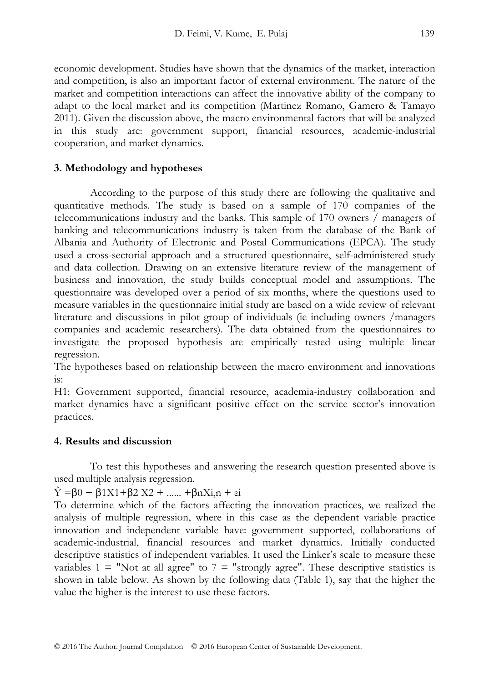economic development. Studies have shown that the dynamics of the market, interaction and competition, is also an important factor of external environment. The nature of the market and competition interactions can affect the innovative ability of the company to adapt to the local market and its competition (Martinez Romano, Gamero & Tamayo 2011). Given the discussion above, the macro environmental factors that will be analyzed in this study are: government support, financial resources, academic-industrial cooperation, and market dynamics.

## **3. Methodology and hypotheses**

According to the purpose of this study there are following the qualitative and quantitative methods. The study is based on a sample of 170 companies of the telecommunications industry and the banks. This sample of 170 owners / managers of banking and telecommunications industry is taken from the database of the Bank of Albania and Authority of Electronic and Postal Communications (EPCA). The study used a cross-sectorial approach and a structured questionnaire, self-administered study and data collection. Drawing on an extensive literature review of the management of business and innovation, the study builds conceptual model and assumptions. The questionnaire was developed over a period of six months, where the questions used to measure variables in the questionnaire initial study are based on a wide review of relevant literature and discussions in pilot group of individuals (ie including owners /managers companies and academic researchers). The data obtained from the questionnaires to investigate the proposed hypothesis are empirically tested using multiple linear regression.

The hypotheses based on relationship between the macro environment and innovations is:

H1: Government supported, financial resource, academia-industry collaboration and market dynamics have a significant positive effect on the service sector's innovation practices.

## **4. Results and discussion**

To test this hypotheses and answering the research question presented above is used multiple analysis regression.

 $\hat{Y} = \beta 0 + \beta 1 X 1 + \beta 2 X 2 + \dots + \beta n X i, n + \varepsilon i$ 

To determine which of the factors affecting the innovation practices, we realized the analysis of multiple regression, where in this case as the dependent variable practice innovation and independent variable have: government supported, collaborations of academic-industrial, financial resources and market dynamics. Initially conducted descriptive statistics of independent variables. It used the Linker's scale to measure these variables  $1 =$  "Not at all agree" to  $7 =$  "strongly agree". These descriptive statistics is shown in table below. As shown by the following data (Table 1), say that the higher the value the higher is the interest to use these factors.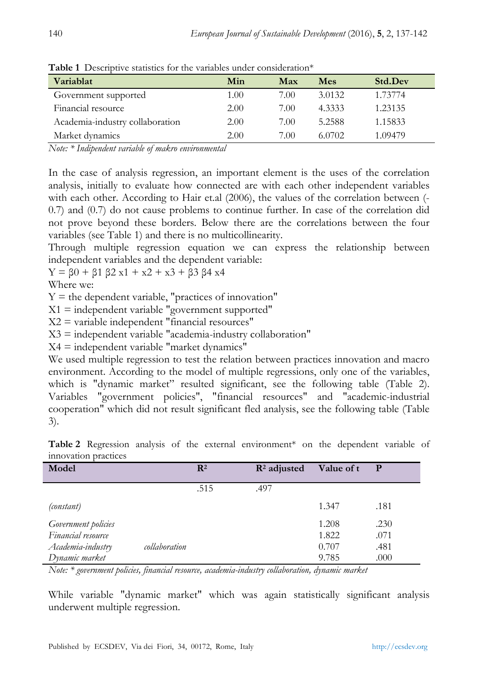| Variablat                       | Min  | Max  | Mes    | Std.Dev |
|---------------------------------|------|------|--------|---------|
| Government supported            | 1.00 | 7.00 | 3.0132 | 1.73774 |
| Financial resource              | 2.00 | 7.00 | 4.3333 | 1.23135 |
| Academia-industry collaboration | 2.00 | 7.00 | 5.2588 | 1.15833 |
| Market dynamics                 | 2.00 | 7.00 | 6.0702 | 1.09479 |

**Table 1** Descriptive statistics for the variables under consideration\*

*Note: \* Indipendent variable of makro environmental* 

In the case of analysis regression, an important element is the uses of the correlation analysis, initially to evaluate how connected are with each other independent variables with each other. According to Hair et.al (2006), the values of the correlation between (- 0.7) and (0.7) do not cause problems to continue further. In case of the correlation did not prove beyond these borders. Below there are the correlations between the four variables (see Table 1) and there is no multicollinearity.

Through multiple regression equation we can express the relationship between independent variables and the dependent variable:

$$
Y = \beta 0 + \beta 1 \beta 2 \ x 1 + x 2 + x 3 + \beta 3 \beta 4 \ x 4
$$

Where we:

 $Y =$  the dependent variable, "practices of innovation"

 $X1$  = independent variable "government supported"

 $X2$  = variable independent "financial resources"

 $X3$  = independent variable "academia-industry collaboration"

 $X4 =$  independent variable "market dynamics"

We used multiple regression to test the relation between practices innovation and macro environment. According to the model of multiple regressions, only one of the variables, which is "dynamic market" resulted significant, see the following table (Table 2). Variables "government policies", "financial resources" and "academic-industrial cooperation" which did not result significant fled analysis, see the following table (Table 3).

| Model               |               | $\mathbf{R}^2$ | $\mathbb{R}^2$ adjusted | Value of t | $\mathbf P$ |
|---------------------|---------------|----------------|-------------------------|------------|-------------|
|                     |               | .515           | .497                    |            |             |
| (constant)          |               |                |                         | 1.347      | .181        |
| Government policies |               |                |                         | 1.208      | .230        |
| Financial resource  |               |                |                         | 1.822      | .071        |
| Academia-industry   | collaboration |                |                         | 0.707      | .481        |
| Dynamic market      |               |                |                         | 9.785      | .000        |

**Table 2** Regression analysis of the external environment\* on the dependent variable of innovation practices

*Note: \* government policies, financial resource, academia-industry collaboration, dynamic market* 

While variable "dynamic market" which was again statistically significant analysis underwent multiple regression.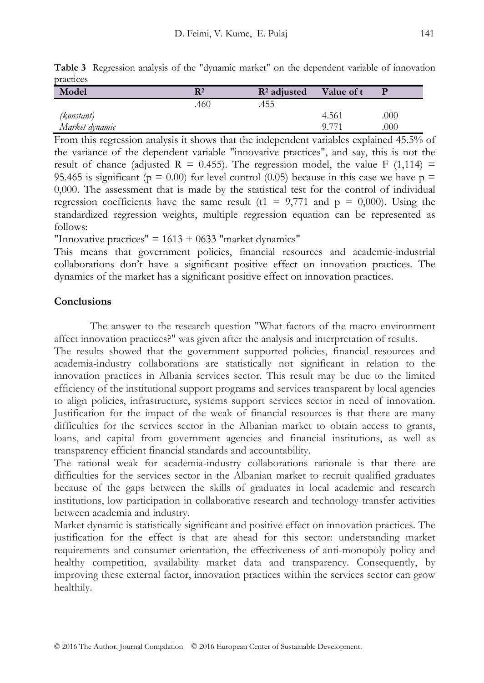|           | Table 3 Regression analysis of the "dynamic market" on the dependent variable of innovation |  |  |  |  |  |
|-----------|---------------------------------------------------------------------------------------------|--|--|--|--|--|
| practices |                                                                                             |  |  |  |  |  |
|           |                                                                                             |  |  |  |  |  |

| Model          | $\mathbf{R}^2$ | $\mathbb{R}^2$ adjusted | Value of t |      |
|----------------|----------------|-------------------------|------------|------|
|                | .460           | 455                     |            |      |
| (konstant)     |                |                         | 4.561      | .000 |
| Market dynamic |                |                         |            | .000 |

From this regression analysis it shows that the independent variables explained 45.5% of the variance of the dependent variable "innovative practices", and say, this is not the result of chance (adjusted R = 0.455). The regression model, the value F (1,114) = 95.465 is significant ( $p = 0.00$ ) for level control (0.05) because in this case we have  $p =$ 0,000. The assessment that is made by the statistical test for the control of individual regression coefficients have the same result (t1 =  $9,771$  and p = 0,000). Using the standardized regression weights, multiple regression equation can be represented as follows:

"Innovative practices"  $= 1613 + 0633$  "market dynamics"

This means that government policies, financial resources and academic-industrial collaborations don't have a significant positive effect on innovation practices. The dynamics of the market has a significant positive effect on innovation practices.

## **Conclusions**

The answer to the research question "What factors of the macro environment affect innovation practices?" was given after the analysis and interpretation of results.

The results showed that the government supported policies, financial resources and academia-industry collaborations are statistically not significant in relation to the innovation practices in Albania services sector. This result may be due to the limited efficiency of the institutional support programs and services transparent by local agencies to align policies, infrastructure, systems support services sector in need of innovation. Justification for the impact of the weak of financial resources is that there are many difficulties for the services sector in the Albanian market to obtain access to grants, loans, and capital from government agencies and financial institutions, as well as transparency efficient financial standards and accountability.

The rational weak for academia-industry collaborations rationale is that there are difficulties for the services sector in the Albanian market to recruit qualified graduates because of the gaps between the skills of graduates in local academic and research institutions, low participation in collaborative research and technology transfer activities between academia and industry.

Market dynamic is statistically significant and positive effect on innovation practices. The justification for the effect is that are ahead for this sector: understanding market requirements and consumer orientation, the effectiveness of anti-monopoly policy and healthy competition, availability market data and transparency. Consequently, by improving these external factor, innovation practices within the services sector can grow healthily.